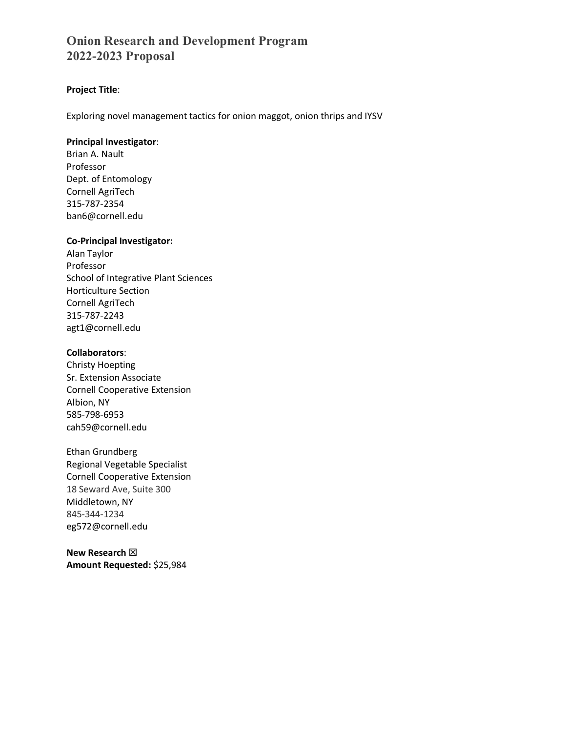## **Project Title**:

Exploring novel management tactics for onion maggot, onion thrips and IYSV

#### **Principal Investigator**:

Brian A. Nault Professor Dept. of Entomology Cornell AgriTech 315-787-2354 ban6@cornell.edu

## **Co-Principal Investigator:**

Alan Taylor Professor School of Integrative Plant Sciences Horticulture Section Cornell AgriTech 315-787-2243 agt1@cornell.edu

## **Collaborators**:

Christy Hoepting Sr. Extension Associate Cornell Cooperative Extension Albion, NY 585-798-6953 cah59@cornell.edu

Ethan Grundberg Regional Vegetable Specialist Cornell Cooperative Extension 18 Seward Ave, Suite 300 Middletown, NY 845-344-1234 eg572@cornell.edu

**New Research** ☒ **Amount Requested:** \$25,984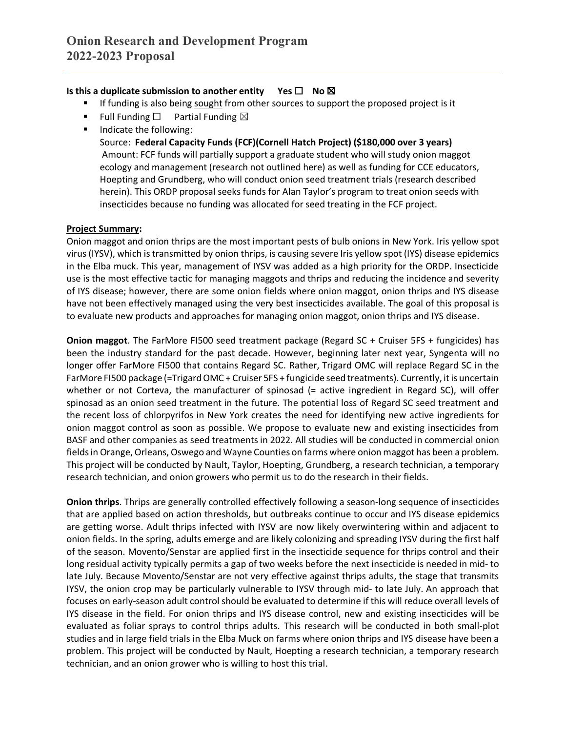# **Is this a duplicate submission to another entity Yes □ No ⊠**

- If funding is also being sought from other sources to support the proposed project is it
- Full Funding  $\Box$  Partial Funding  $\boxtimes$
- **Indicate the following:**

Source: **Federal Capacity Funds (FCF)(Cornell Hatch Project) (\$180,000 over 3 years)** Amount: FCF funds will partially support a graduate student who will study onion maggot ecology and management (research not outlined here) as well as funding for CCE educators, Hoepting and Grundberg, who will conduct onion seed treatment trials (research described herein). This ORDP proposal seeks funds for Alan Taylor's program to treat onion seeds with insecticides because no funding was allocated for seed treating in the FCF project.

## **Project Summary:**

Onion maggot and onion thrips are the most important pests of bulb onions in New York. Iris yellow spot virus (IYSV), which is transmitted by onion thrips, is causing severe Iris yellow spot (IYS) disease epidemics in the Elba muck. This year, management of IYSV was added as a high priority for the ORDP. Insecticide use is the most effective tactic for managing maggots and thrips and reducing the incidence and severity of IYS disease; however, there are some onion fields where onion maggot, onion thrips and IYS disease have not been effectively managed using the very best insecticides available. The goal of this proposal is to evaluate new products and approaches for managing onion maggot, onion thrips and IYS disease.

**Onion maggot**. The FarMore FI500 seed treatment package (Regard SC + Cruiser 5FS + fungicides) has been the industry standard for the past decade. However, beginning later next year, Syngenta will no longer offer FarMore FI500 that contains Regard SC. Rather, Trigard OMC will replace Regard SC in the FarMore FI500 package (=Trigard OMC + Cruiser 5FS + fungicide seed treatments). Currently, it is uncertain whether or not Corteva, the manufacturer of spinosad (= active ingredient in Regard SC), will offer spinosad as an onion seed treatment in the future. The potential loss of Regard SC seed treatment and the recent loss of chlorpyrifos in New York creates the need for identifying new active ingredients for onion maggot control as soon as possible. We propose to evaluate new and existing insecticides from BASF and other companies as seed treatments in 2022. All studies will be conducted in commercial onion fields in Orange, Orleans, Oswego and Wayne Counties on farms where onion maggot has been a problem. This project will be conducted by Nault, Taylor, Hoepting, Grundberg, a research technician, a temporary research technician, and onion growers who permit us to do the research in their fields.

**Onion thrips**. Thrips are generally controlled effectively following a season-long sequence of insecticides that are applied based on action thresholds, but outbreaks continue to occur and IYS disease epidemics are getting worse. Adult thrips infected with IYSV are now likely overwintering within and adjacent to onion fields. In the spring, adults emerge and are likely colonizing and spreading IYSV during the first half of the season. Movento/Senstar are applied first in the insecticide sequence for thrips control and their long residual activity typically permits a gap of two weeks before the next insecticide is needed in mid- to late July. Because Movento/Senstar are not very effective against thrips adults, the stage that transmits IYSV, the onion crop may be particularly vulnerable to IYSV through mid- to late July. An approach that focuses on early-season adult control should be evaluated to determine if this will reduce overall levels of IYS disease in the field. For onion thrips and IYS disease control, new and existing insecticides will be evaluated as foliar sprays to control thrips adults. This research will be conducted in both small-plot studies and in large field trials in the Elba Muck on farms where onion thrips and IYS disease have been a problem. This project will be conducted by Nault, Hoepting a research technician, a temporary research technician, and an onion grower who is willing to host this trial.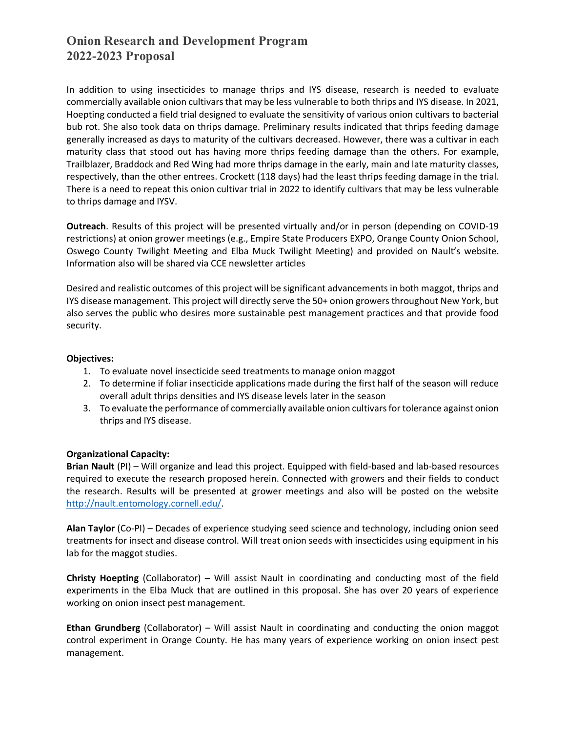In addition to using insecticides to manage thrips and IYS disease, research is needed to evaluate commercially available onion cultivars that may be less vulnerable to both thrips and IYS disease. In 2021, Hoepting conducted a field trial designed to evaluate the sensitivity of various onion cultivars to bacterial bub rot. She also took data on thrips damage. Preliminary results indicated that thrips feeding damage generally increased as days to maturity of the cultivars decreased. However, there was a cultivar in each maturity class that stood out has having more thrips feeding damage than the others. For example, Trailblazer, Braddock and Red Wing had more thrips damage in the early, main and late maturity classes, respectively, than the other entrees. Crockett (118 days) had the least thrips feeding damage in the trial. There is a need to repeat this onion cultivar trial in 2022 to identify cultivars that may be less vulnerable to thrips damage and IYSV.

**Outreach**. Results of this project will be presented virtually and/or in person (depending on COVID-19 restrictions) at onion grower meetings (e.g., Empire State Producers EXPO, Orange County Onion School, Oswego County Twilight Meeting and Elba Muck Twilight Meeting) and provided on Nault's website. Information also will be shared via CCE newsletter articles

Desired and realistic outcomes of this project will be significant advancements in both maggot, thrips and IYS disease management. This project will directly serve the 50+ onion growers throughout New York, but also serves the public who desires more sustainable pest management practices and that provide food security.

## **Objectives:**

- 1. To evaluate novel insecticide seed treatments to manage onion maggot
- 2. To determine if foliar insecticide applications made during the first half of the season will reduce overall adult thrips densities and IYS disease levels later in the season
- 3. To evaluate the performance of commercially available onion cultivars for tolerance against onion thrips and IYS disease.

## **Organizational Capacity:**

**Brian Nault** (PI) – Will organize and lead this project. Equipped with field-based and lab-based resources required to execute the research proposed herein. Connected with growers and their fields to conduct the research. Results will be presented at grower meetings and also will be posted on the website [http://nault.entomology.cornell.edu/.](http://nault.entomology.cornell.edu/)

**Alan Taylor** (Co-PI) – Decades of experience studying seed science and technology, including onion seed treatments for insect and disease control. Will treat onion seeds with insecticides using equipment in his lab for the maggot studies.

**Christy Hoepting** (Collaborator) – Will assist Nault in coordinating and conducting most of the field experiments in the Elba Muck that are outlined in this proposal. She has over 20 years of experience working on onion insect pest management.

**Ethan Grundberg** (Collaborator) – Will assist Nault in coordinating and conducting the onion maggot control experiment in Orange County. He has many years of experience working on onion insect pest management.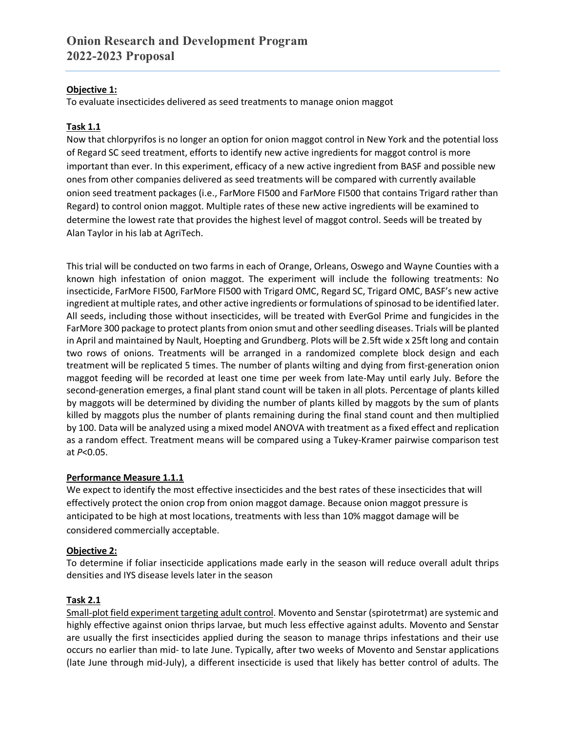# **Objective 1:**

To evaluate insecticides delivered as seed treatments to manage onion maggot

# **Task 1.1**

Now that chlorpyrifos is no longer an option for onion maggot control in New York and the potential loss of Regard SC seed treatment, efforts to identify new active ingredients for maggot control is more important than ever. In this experiment, efficacy of a new active ingredient from BASF and possible new ones from other companies delivered as seed treatments will be compared with currently available onion seed treatment packages (i.e., FarMore FI500 and FarMore FI500 that contains Trigard rather than Regard) to control onion maggot. Multiple rates of these new active ingredients will be examined to determine the lowest rate that provides the highest level of maggot control. Seeds will be treated by Alan Taylor in his lab at AgriTech.

This trial will be conducted on two farms in each of Orange, Orleans, Oswego and Wayne Counties with a known high infestation of onion maggot. The experiment will include the following treatments: No insecticide, FarMore FI500, FarMore FI500 with Trigard OMC, Regard SC, Trigard OMC, BASF's new active ingredient at multiple rates, and other active ingredients or formulations of spinosad to be identified later. All seeds, including those without insecticides, will be treated with EverGol Prime and fungicides in the FarMore 300 package to protect plants from onion smut and other seedling diseases. Trials will be planted in April and maintained by Nault, Hoepting and Grundberg. Plots will be 2.5ft wide x 25ft long and contain two rows of onions. Treatments will be arranged in a randomized complete block design and each treatment will be replicated 5 times. The number of plants wilting and dying from first-generation onion maggot feeding will be recorded at least one time per week from late-May until early July. Before the second-generation emerges, a final plant stand count will be taken in all plots. Percentage of plants killed by maggots will be determined by dividing the number of plants killed by maggots by the sum of plants killed by maggots plus the number of plants remaining during the final stand count and then multiplied by 100. Data will be analyzed using a mixed model ANOVA with treatment as a fixed effect and replication as a random effect. Treatment means will be compared using a Tukey-Kramer pairwise comparison test at *P*<0.05.

# **Performance Measure 1.1.1**

We expect to identify the most effective insecticides and the best rates of these insecticides that will effectively protect the onion crop from onion maggot damage. Because onion maggot pressure is anticipated to be high at most locations, treatments with less than 10% maggot damage will be considered commercially acceptable.

# **Objective 2:**

To determine if foliar insecticide applications made early in the season will reduce overall adult thrips densities and IYS disease levels later in the season

# **Task 2.1**

Small-plot field experiment targeting adult control. Movento and Senstar (spirotetrmat) are systemic and highly effective against onion thrips larvae, but much less effective against adults. Movento and Senstar are usually the first insecticides applied during the season to manage thrips infestations and their use occurs no earlier than mid- to late June. Typically, after two weeks of Movento and Senstar applications (late June through mid-July), a different insecticide is used that likely has better control of adults. The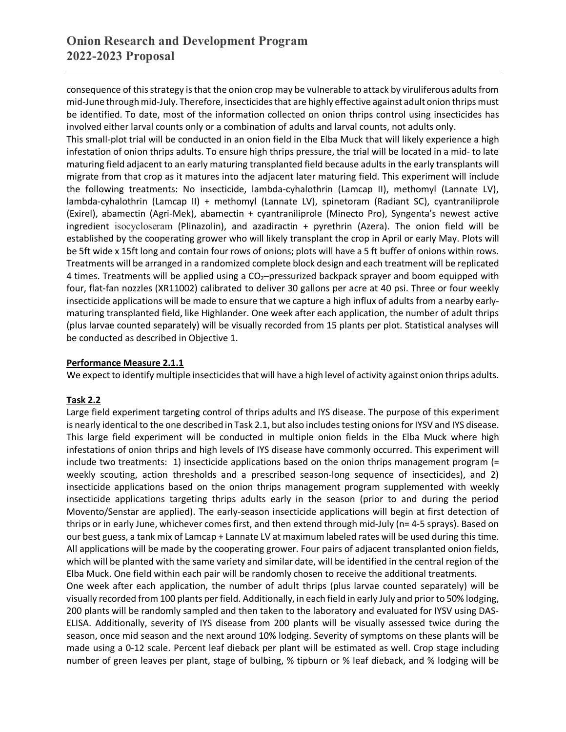consequence of this strategy is that the onion crop may be vulnerable to attack by viruliferous adults from mid-June through mid-July. Therefore, insecticides that are highly effective against adult onion thrips must be identified. To date, most of the information collected on onion thrips control using insecticides has involved either larval counts only or a combination of adults and larval counts, not adults only.

This small-plot trial will be conducted in an onion field in the Elba Muck that will likely experience a high infestation of onion thrips adults. To ensure high thrips pressure, the trial will be located in a mid- to late maturing field adjacent to an early maturing transplanted field because adults in the early transplants will migrate from that crop as it matures into the adjacent later maturing field. This experiment will include the following treatments: No insecticide, lambda-cyhalothrin (Lamcap II), methomyl (Lannate LV), lambda-cyhalothrin (Lamcap II) + methomyl (Lannate LV), spinetoram (Radiant SC), cyantraniliprole (Exirel), abamectin (Agri-Mek), abamectin + cyantraniliprole (Minecto Pro), Syngenta's newest active ingredient isocycloseram (Plinazolin), and azadiractin + pyrethrin (Azera). The onion field will be established by the cooperating grower who will likely transplant the crop in April or early May. Plots will be 5ft wide x 15ft long and contain four rows of onions; plots will have a 5 ft buffer of onions within rows. Treatments will be arranged in a randomized complete block design and each treatment will be replicated 4 times. Treatments will be applied using a CO2–pressurized backpack sprayer and boom equipped with four, flat-fan nozzles (XR11002) calibrated to deliver 30 gallons per acre at 40 psi. Three or four weekly insecticide applications will be made to ensure that we capture a high influx of adults from a nearby earlymaturing transplanted field, like Highlander. One week after each application, the number of adult thrips (plus larvae counted separately) will be visually recorded from 15 plants per plot. Statistical analyses will be conducted as described in Objective 1.

# **Performance Measure 2.1.1**

We expect to identify multiple insecticides that will have a high level of activity against onion thrips adults.

## **Task 2.2**

Large field experiment targeting control of thrips adults and IYS disease. The purpose of this experiment is nearly identical to the one described in Task 2.1, but also includes testing onions for IYSV and IYS disease. This large field experiment will be conducted in multiple onion fields in the Elba Muck where high infestations of onion thrips and high levels of IYS disease have commonly occurred. This experiment will include two treatments: 1) insecticide applications based on the onion thrips management program (= weekly scouting, action thresholds and a prescribed season-long sequence of insecticides), and 2) insecticide applications based on the onion thrips management program supplemented with weekly insecticide applications targeting thrips adults early in the season (prior to and during the period Movento/Senstar are applied). The early-season insecticide applications will begin at first detection of thrips or in early June, whichever comes first, and then extend through mid-July (n= 4-5 sprays). Based on our best guess, a tank mix of Lamcap + Lannate LV at maximum labeled rates will be used during this time. All applications will be made by the cooperating grower. Four pairs of adjacent transplanted onion fields, which will be planted with the same variety and similar date, will be identified in the central region of the Elba Muck. One field within each pair will be randomly chosen to receive the additional treatments.

One week after each application, the number of adult thrips (plus larvae counted separately) will be visually recorded from 100 plants per field. Additionally, in each field in early July and prior to 50% lodging, 200 plants will be randomly sampled and then taken to the laboratory and evaluated for IYSV using DAS-ELISA. Additionally, severity of IYS disease from 200 plants will be visually assessed twice during the season, once mid season and the next around 10% lodging. Severity of symptoms on these plants will be made using a 0-12 scale. Percent leaf dieback per plant will be estimated as well. Crop stage including number of green leaves per plant, stage of bulbing, % tipburn or % leaf dieback, and % lodging will be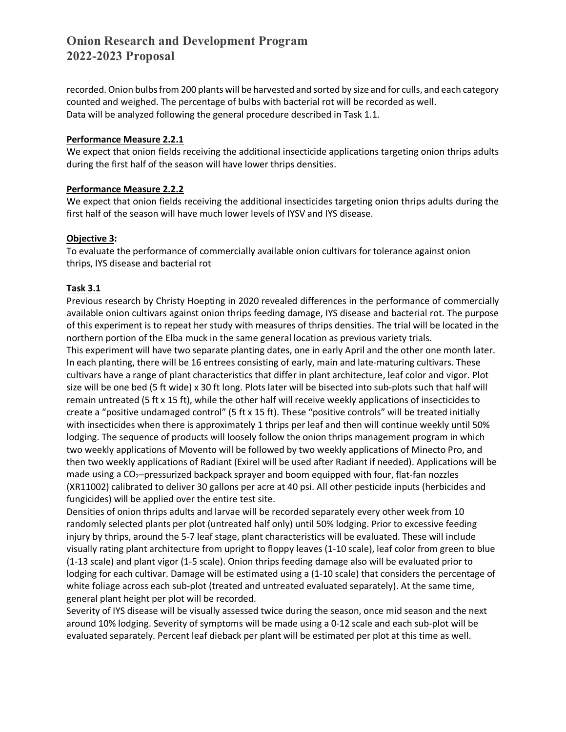recorded. Onion bulbs from 200 plants will be harvested and sorted by size and for culls, and each category counted and weighed. The percentage of bulbs with bacterial rot will be recorded as well. Data will be analyzed following the general procedure described in Task 1.1.

## **Performance Measure 2.2.1**

We expect that onion fields receiving the additional insecticide applications targeting onion thrips adults during the first half of the season will have lower thrips densities.

## **Performance Measure 2.2.2**

We expect that onion fields receiving the additional insecticides targeting onion thrips adults during the first half of the season will have much lower levels of IYSV and IYS disease.

## **Objective 3:**

To evaluate the performance of commercially available onion cultivars for tolerance against onion thrips, IYS disease and bacterial rot

# **Task 3.1**

Previous research by Christy Hoepting in 2020 revealed differences in the performance of commercially available onion cultivars against onion thrips feeding damage, IYS disease and bacterial rot. The purpose of this experiment is to repeat her study with measures of thrips densities. The trial will be located in the northern portion of the Elba muck in the same general location as previous variety trials.

This experiment will have two separate planting dates, one in early April and the other one month later. In each planting, there will be 16 entrees consisting of early, main and late-maturing cultivars. These cultivars have a range of plant characteristics that differ in plant architecture, leaf color and vigor. Plot size will be one bed (5 ft wide) x 30 ft long. Plots later will be bisected into sub-plots such that half will remain untreated (5 ft x 15 ft), while the other half will receive weekly applications of insecticides to create a "positive undamaged control" (5 ft x 15 ft). These "positive controls" will be treated initially with insecticides when there is approximately 1 thrips per leaf and then will continue weekly until 50% lodging. The sequence of products will loosely follow the onion thrips management program in which two weekly applications of Movento will be followed by two weekly applications of Minecto Pro, and then two weekly applications of Radiant (Exirel will be used after Radiant if needed). Applications will be made using a CO<sub>2</sub>-pressurized backpack sprayer and boom equipped with four, flat-fan nozzles (XR11002) calibrated to deliver 30 gallons per acre at 40 psi. All other pesticide inputs (herbicides and fungicides) will be applied over the entire test site.

Densities of onion thrips adults and larvae will be recorded separately every other week from 10 randomly selected plants per plot (untreated half only) until 50% lodging. Prior to excessive feeding injury by thrips, around the 5-7 leaf stage, plant characteristics will be evaluated. These will include visually rating plant architecture from upright to floppy leaves (1-10 scale), leaf color from green to blue (1-13 scale) and plant vigor (1-5 scale). Onion thrips feeding damage also will be evaluated prior to lodging for each cultivar. Damage will be estimated using a (1-10 scale) that considers the percentage of white foliage across each sub-plot (treated and untreated evaluated separately). At the same time, general plant height per plot will be recorded.

Severity of IYS disease will be visually assessed twice during the season, once mid season and the next around 10% lodging. Severity of symptoms will be made using a 0-12 scale and each sub-plot will be evaluated separately. Percent leaf dieback per plant will be estimated per plot at this time as well.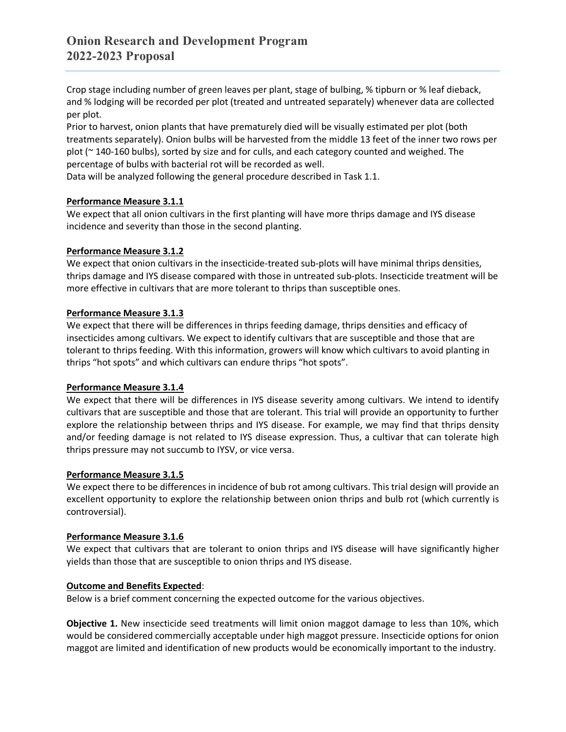Crop stage including number of green leaves per plant, stage of bulbing, % tipburn or % leaf dieback, and % lodging will be recorded per plot (treated and untreated separately) whenever data are collected per plot.

Prior to harvest, onion plants that have prematurely died will be visually estimated per plot (both treatments separately). Onion bulbs will be harvested from the middle 13 feet of the inner two rows per plot (~ 140-160 bulbs), sorted by size and for culls, and each category counted and weighed. The percentage of bulbs with bacterial rot will be recorded as well.

Data will be analyzed following the general procedure described in Task 1.1.

## **Performance Measure 3.1.1**

We expect that all onion cultivars in the first planting will have more thrips damage and IYS disease incidence and severity than those in the second planting.

## **Performance Measure 3.1.2**

We expect that onion cultivars in the insecticide-treated sub-plots will have minimal thrips densities, thrips damage and IYS disease compared with those in untreated sub-plots. Insecticide treatment will be more effective in cultivars that are more tolerant to thrips than susceptible ones.

## **Performance Measure 3.1.3**

We expect that there will be differences in thrips feeding damage, thrips densities and efficacy of insecticides among cultivars. We expect to identify cultivars that are susceptible and those that are tolerant to thrips feeding. With this information, growers will know which cultivars to avoid planting in thrips "hot spots" and which cultivars can endure thrips "hot spots".

## **Performance Measure 3.1.4**

We expect that there will be differences in IYS disease severity among cultivars. We intend to identify cultivars that are susceptible and those that are tolerant. This trial will provide an opportunity to further explore the relationship between thrips and IYS disease. For example, we may find that thrips density and/or feeding damage is not related to IYS disease expression. Thus, a cultivar that can tolerate high thrips pressure may not succumb to IYSV, or vice versa.

## **Performance Measure 3.1.5**

We expect there to be differences in incidence of bub rot among cultivars. This trial design will provide an excellent opportunity to explore the relationship between onion thrips and bulb rot (which currently is controversial).

## **Performance Measure 3.1.6**

We expect that cultivars that are tolerant to onion thrips and IYS disease will have significantly higher yields than those that are susceptible to onion thrips and IYS disease.

## **Outcome and Benefits Expected**:

Below is a brief comment concerning the expected outcome for the various objectives.

**Objective 1.** New insecticide seed treatments will limit onion maggot damage to less than 10%, which would be considered commercially acceptable under high maggot pressure. Insecticide options for onion maggot are limited and identification of new products would be economically important to the industry.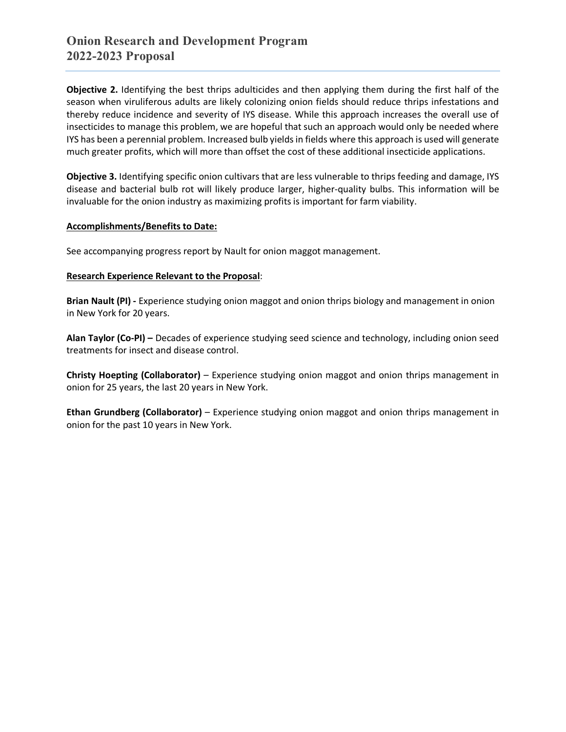**Objective 2.** Identifying the best thrips adulticides and then applying them during the first half of the season when viruliferous adults are likely colonizing onion fields should reduce thrips infestations and thereby reduce incidence and severity of IYS disease. While this approach increases the overall use of insecticides to manage this problem, we are hopeful that such an approach would only be needed where IYS has been a perennial problem. Increased bulb yields in fields where this approach is used will generate much greater profits, which will more than offset the cost of these additional insecticide applications.

**Objective 3.** Identifying specific onion cultivars that are less vulnerable to thrips feeding and damage, IYS disease and bacterial bulb rot will likely produce larger, higher-quality bulbs. This information will be invaluable for the onion industry as maximizing profits is important for farm viability.

## **Accomplishments/Benefits to Date:**

See accompanying progress report by Nault for onion maggot management.

## **Research Experience Relevant to the Proposal**:

**Brian Nault (PI) -** Experience studying onion maggot and onion thrips biology and management in onion in New York for 20 years.

**Alan Taylor (Co-PI) –** Decades of experience studying seed science and technology, including onion seed treatments for insect and disease control.

**Christy Hoepting (Collaborator)** – Experience studying onion maggot and onion thrips management in onion for 25 years, the last 20 years in New York.

**Ethan Grundberg (Collaborator)** – Experience studying onion maggot and onion thrips management in onion for the past 10 years in New York.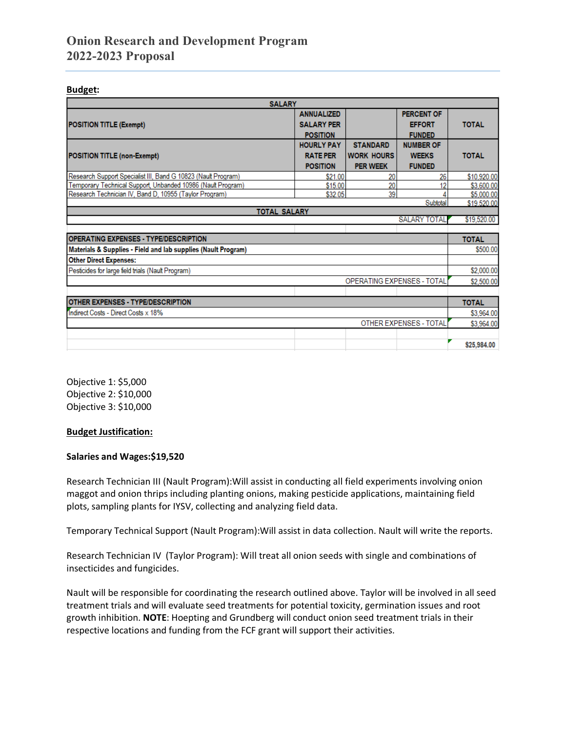# **Onion Research and Development Program 2022-2023 Proposal**

#### **Budget:**

| <b>SALARY</b>                                                 |                   |                            |                        |              |
|---------------------------------------------------------------|-------------------|----------------------------|------------------------|--------------|
|                                                               | <b>ANNUALIZED</b> |                            | <b>PERCENT OF</b>      |              |
| <b>POSITION TITLE (Exempt)</b>                                | <b>SALARY PER</b> |                            | <b>EFFORT</b>          | <b>TOTAL</b> |
|                                                               | <b>POSITION</b>   |                            | <b>FUNDED</b>          |              |
|                                                               | <b>HOURLY PAY</b> | <b>STANDARD</b>            | <b>NUMBER OF</b>       |              |
| <b>POSITION TITLE (non-Exempt)</b>                            | <b>RATE PER</b>   | <b>WORK HOURS</b>          | <b>WEEKS</b>           | <b>TOTAL</b> |
|                                                               | <b>POSITION</b>   | <b>PER WEEK</b>            | <b>FUNDED</b>          |              |
| Research Support Specialist III, Band G 10823 (Nault Program) | \$21.00           | 20                         | 26                     | \$10,920.00  |
| Temporary Technical Support, Unbanded 10986 (Nault Program)   | \$15.00           | 20                         |                        | \$3,600.00   |
| Research Technician IV, Band D, 10955 (Taylor Program)        | \$32.05           | 39                         |                        | \$5,000.00   |
| Subtotal                                                      |                   |                            |                        | \$19,520.00  |
| <b>TOTAL SALARY</b><br><b>SALARY TOTAL</b>                    |                   |                            |                        |              |
|                                                               |                   |                            |                        | \$19,520.00  |
| <b>OPERATING EXPENSES - TYPE/DESCRIPTION</b>                  |                   |                            |                        | <b>TOTAL</b> |
| Materials & Supplies - Field and lab supplies (Nault Program) |                   |                            |                        |              |
|                                                               |                   |                            |                        | \$500.00     |
| <b>Other Direct Expenses:</b>                                 |                   |                            |                        |              |
| Pesticides for large field trials (Nault Program)             |                   |                            |                        | \$2,000.00   |
|                                                               |                   | OPERATING EXPENSES - TOTAL |                        | \$2,500.00   |
|                                                               |                   |                            |                        |              |
| <b>OTHER EXPENSES - TYPE/DESCRIPTION</b>                      |                   |                            |                        | <b>TOTAL</b> |
| Indirect Costs - Direct Costs x 18%                           |                   |                            |                        | \$3,964.00   |
|                                                               |                   |                            | OTHER EXPENSES - TOTAL | \$3,964.00   |
|                                                               |                   |                            |                        |              |

Objective 1: \$5,000 Objective 2: \$10,000 Objective 3: \$10,000

## **Budget Justification:**

## **Salaries and Wages:\$19,520**

Research Technician III (Nault Program):Will assist in conducting all field experiments involving onion maggot and onion thrips including planting onions, making pesticide applications, maintaining field plots, sampling plants for IYSV, collecting and analyzing field data.

Temporary Technical Support (Nault Program):Will assist in data collection. Nault will write the reports.

Research Technician IV (Taylor Program): Will treat all onion seeds with single and combinations of insecticides and fungicides.

Nault will be responsible for coordinating the research outlined above. Taylor will be involved in all seed treatment trials and will evaluate seed treatments for potential toxicity, germination issues and root growth inhibition. **NOTE**: Hoepting and Grundberg will conduct onion seed treatment trials in their respective locations and funding from the FCF grant will support their activities.